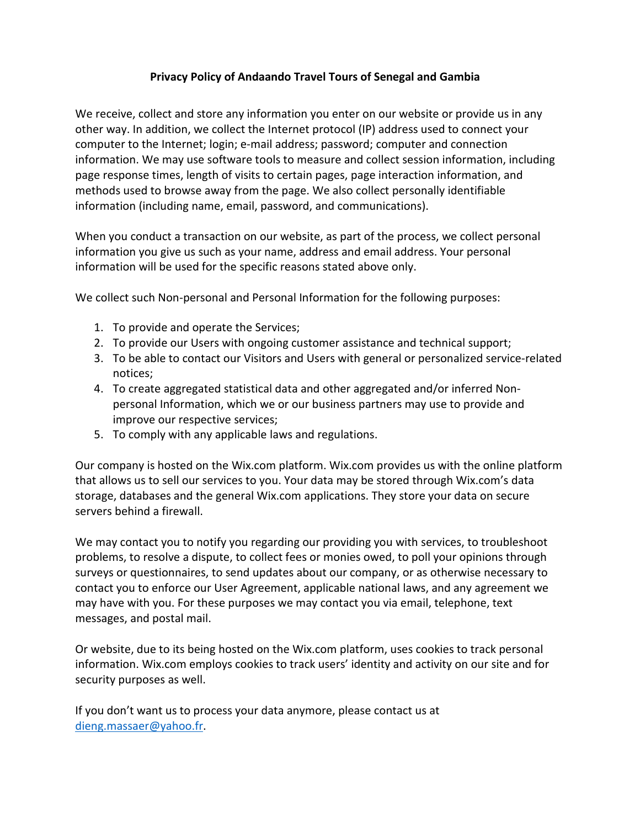## **Privacy Policy of Andaando Travel Tours of Senegal and Gambia**

We receive, collect and store any information you enter on our website or provide us in any other way. In addition, we collect the Internet protocol (IP) address used to connect your computer to the Internet; login; e-mail address; password; computer and connection information. We may use software tools to measure and collect session information, including page response times, length of visits to certain pages, page interaction information, and methods used to browse away from the page. We also collect personally identifiable information (including name, email, password, and communications).

When you conduct a transaction on our website, as part of the process, we collect personal information you give us such as your name, address and email address. Your personal information will be used for the specific reasons stated above only.

We collect such Non-personal and Personal Information for the following purposes:

- 1. To provide and operate the Services;
- 2. To provide our Users with ongoing customer assistance and technical support;
- 3. To be able to contact our Visitors and Users with general or personalized service-related notices;
- 4. To create aggregated statistical data and other aggregated and/or inferred Nonpersonal Information, which we or our business partners may use to provide and improve our respective services;
- 5. To comply with any applicable laws and regulations.

Our company is hosted on the Wix.com platform. Wix.com provides us with the online platform that allows us to sell our services to you. Your data may be stored through Wix.com's data storage, databases and the general Wix.com applications. They store your data on secure servers behind a firewall.

We may contact you to notify you regarding our providing you with services, to troubleshoot problems, to resolve a dispute, to collect fees or monies owed, to poll your opinions through surveys or questionnaires, to send updates about our company, or as otherwise necessary to contact you to enforce our User Agreement, applicable national laws, and any agreement we may have with you. For these purposes we may contact you via email, telephone, text messages, and postal mail.

Or website, due to its being hosted on the Wix.com platform, uses cookies to track personal information. Wix.com employs cookies to track users' identity and activity on our site and for security purposes as well.

If you don't want us to process your data anymore, please contact us at [dieng.massaer@yahoo.fr.](mailto:dieng.massaer@yahoo.fr)